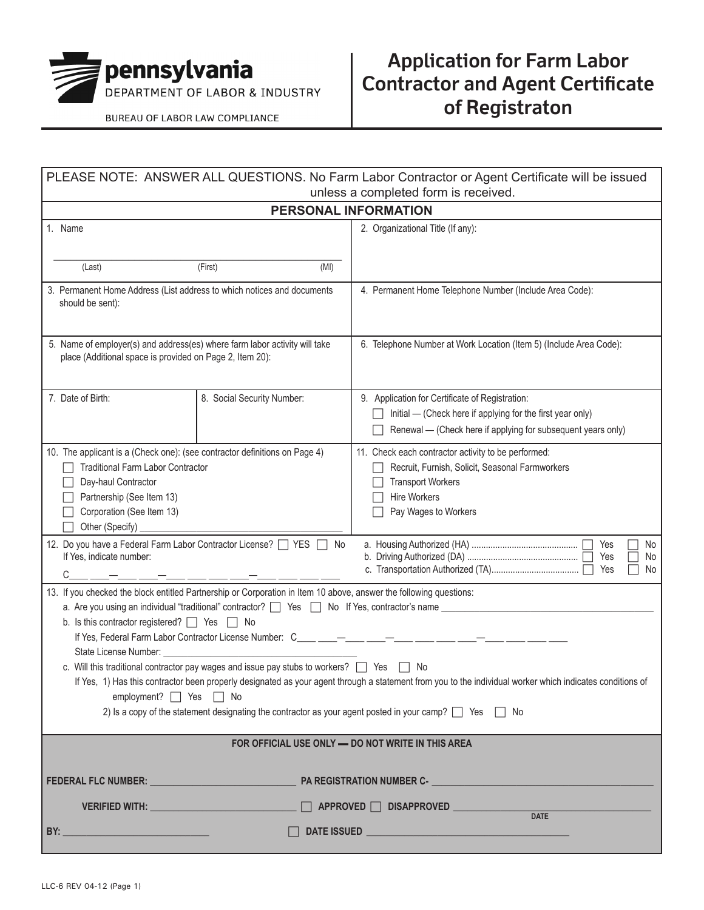

BUREAU OF LABOR LAW COMPLIANCE

## **Application for Farm Labor Contractor and Agent Certificate of Registraton**

| PLEASE NOTE: ANSWER ALL QUESTIONS. No Farm Labor Contractor or Agent Certificate will be issued<br>unless a completed form is received.                                                                                                                                                                                                                                                                                                                                                                                                                                                                                                                                                                                                                                                                                            |                                                                                                                                                                                                                                           |                            |                                                                                                                                                                                                      |  |  |  |
|------------------------------------------------------------------------------------------------------------------------------------------------------------------------------------------------------------------------------------------------------------------------------------------------------------------------------------------------------------------------------------------------------------------------------------------------------------------------------------------------------------------------------------------------------------------------------------------------------------------------------------------------------------------------------------------------------------------------------------------------------------------------------------------------------------------------------------|-------------------------------------------------------------------------------------------------------------------------------------------------------------------------------------------------------------------------------------------|----------------------------|------------------------------------------------------------------------------------------------------------------------------------------------------------------------------------------------------|--|--|--|
|                                                                                                                                                                                                                                                                                                                                                                                                                                                                                                                                                                                                                                                                                                                                                                                                                                    |                                                                                                                                                                                                                                           |                            | <b>PERSONAL INFORMATION</b>                                                                                                                                                                          |  |  |  |
| 1. Name<br>(Last)                                                                                                                                                                                                                                                                                                                                                                                                                                                                                                                                                                                                                                                                                                                                                                                                                  |                                                                                                                                                                                                                                           | (First)<br>(MI)            | 2. Organizational Title (If any):                                                                                                                                                                    |  |  |  |
| 3. Permanent Home Address (List address to which notices and documents<br>should be sent):                                                                                                                                                                                                                                                                                                                                                                                                                                                                                                                                                                                                                                                                                                                                         |                                                                                                                                                                                                                                           |                            | 4. Permanent Home Telephone Number (Include Area Code):                                                                                                                                              |  |  |  |
| 5. Name of employer(s) and address(es) where farm labor activity will take<br>place (Additional space is provided on Page 2, Item 20):                                                                                                                                                                                                                                                                                                                                                                                                                                                                                                                                                                                                                                                                                             |                                                                                                                                                                                                                                           |                            | 6. Telephone Number at Work Location (Item 5) (Include Area Code):                                                                                                                                   |  |  |  |
| 7. Date of Birth:                                                                                                                                                                                                                                                                                                                                                                                                                                                                                                                                                                                                                                                                                                                                                                                                                  |                                                                                                                                                                                                                                           | 8. Social Security Number: | 9. Application for Certificate of Registration:<br>Initial — (Check here if applying for the first year only)<br>Renewal - (Check here if applying for subsequent years only)                        |  |  |  |
| 10. The applicant is a (Check one): (see contractor definitions on Page 4)<br><b>Traditional Farm Labor Contractor</b><br>Day-haul Contractor<br>Partnership (See Item 13)<br>Corporation (See Item 13)<br>Other (Specify)<br>12. Do you have a Federal Farm Labor Contractor License? [ YES   No                                                                                                                                                                                                                                                                                                                                                                                                                                                                                                                                  |                                                                                                                                                                                                                                           |                            | 11. Check each contractor activity to be performed:<br>Recruit, Furnish, Solicit, Seasonal Farmworkers<br><b>Transport Workers</b><br><b>Hire Workers</b><br>Pay Wages to Workers<br>Yes<br>No<br>No |  |  |  |
| If Yes, indicate number:<br>Yes<br>Yes<br>L<br>No<br>_____________________<br>13. If you checked the block entitled Partnership or Corporation in Item 10 above, answer the following questions:                                                                                                                                                                                                                                                                                                                                                                                                                                                                                                                                                                                                                                   |                                                                                                                                                                                                                                           |                            |                                                                                                                                                                                                      |  |  |  |
| a. Are you using an individual "traditional" contractor?   Yes   No If Yes, contractor's name ________________________<br>b. Is this contractor registered? $\Box$ Yes $\Box$ No<br>State License Number: National Accounts and Accounts and Accounts and Accounts and Accounts and Accounts and Accounts and Accounts and Accounts and Accounts and Accounts and Accounts and Accounts and Accounts and Accounts<br>c. Will this traditional contractor pay wages and issue pay stubs to workers? $\Box$ Yes $\Box$ No<br>If Yes, 1) Has this contractor been properly designated as your agent through a statement from you to the individual worker which indicates conditions of<br>employment? Ses and No<br>2) Is a copy of the statement designating the contractor as your agent posted in your camp? $\Box$ Yes $\Box$ No |                                                                                                                                                                                                                                           |                            |                                                                                                                                                                                                      |  |  |  |
| FOR OFFICIAL USE ONLY - DO NOT WRITE IN THIS AREA                                                                                                                                                                                                                                                                                                                                                                                                                                                                                                                                                                                                                                                                                                                                                                                  |                                                                                                                                                                                                                                           |                            |                                                                                                                                                                                                      |  |  |  |
|                                                                                                                                                                                                                                                                                                                                                                                                                                                                                                                                                                                                                                                                                                                                                                                                                                    |                                                                                                                                                                                                                                           |                            |                                                                                                                                                                                                      |  |  |  |
|                                                                                                                                                                                                                                                                                                                                                                                                                                                                                                                                                                                                                                                                                                                                                                                                                                    | VERIFIED WITH: ___________________________ □ APPROVED □ DISAPPROVED __________<br><b>DATE</b>                                                                                                                                             |                            |                                                                                                                                                                                                      |  |  |  |
|                                                                                                                                                                                                                                                                                                                                                                                                                                                                                                                                                                                                                                                                                                                                                                                                                                    | <b>BY:</b> <u>Andrea BY: Andrea BY: Andrea BY: Andrea BY: Andrea By: Andrea By: Andrea By: Andrea By: Andrea By: Andrea By: Andrea By: Andrea By: Andrea By: Andrea By: Andrea By: Andrea By: Andrea By: Andrea By: Andrea By: Andrea</u> |                            |                                                                                                                                                                                                      |  |  |  |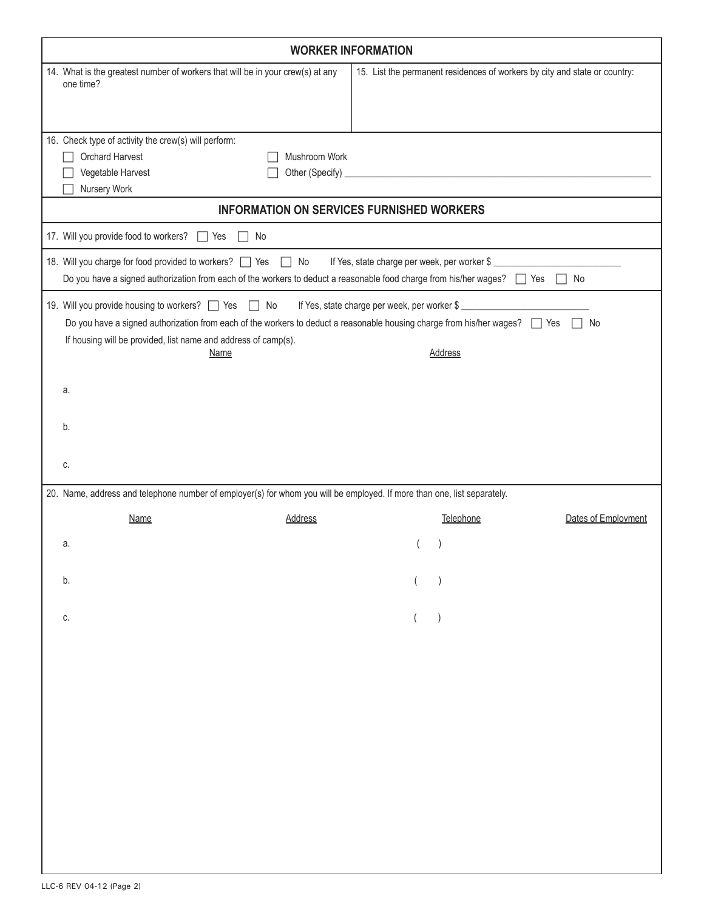| <b>WORKER INFORMATION</b>                                                                                                                                                                                                                                       |                |                                                                            |                     |  |  |  |  |
|-----------------------------------------------------------------------------------------------------------------------------------------------------------------------------------------------------------------------------------------------------------------|----------------|----------------------------------------------------------------------------|---------------------|--|--|--|--|
| 14. What is the greatest number of workers that will be in your crew(s) at any<br>one time?                                                                                                                                                                     |                | 15. List the permanent residences of workers by city and state or country: |                     |  |  |  |  |
| 16. Check type of activity the crew(s) will perform:<br>Orchard Harvest<br>Mushroom Work<br>Vegetable Harvest<br>Other (Specify) _<br>Nursery Work                                                                                                              |                | <u> 1989 - Johann John Stein, mars an deus Amerikaansk kommunister (</u>   |                     |  |  |  |  |
| <b>INFORMATION ON SERVICES FURNISHED WORKERS</b>                                                                                                                                                                                                                |                |                                                                            |                     |  |  |  |  |
| 17. Will you provide food to workers? Thes Theodor                                                                                                                                                                                                              |                |                                                                            |                     |  |  |  |  |
| 18. Will you charge for food provided to workers? T Yes T No<br>If Yes, state charge per week, per worker \$<br>Do you have a signed authorization from each of the workers to deduct a reasonable food charge from his/her wages? Thes                         |                |                                                                            |                     |  |  |  |  |
| 19. Will you provide housing to workers? Nes No<br>Do you have a signed authorization from each of the workers to deduct a reasonable housing charge from his/her wages?<br>Yes<br>If housing will be provided, list name and address of camp(s).<br>Name<br>a. | <b>Address</b> | If Yes, state charge per week, per worker \$                               | $\Box$ No           |  |  |  |  |
| b.<br>C.                                                                                                                                                                                                                                                        |                |                                                                            |                     |  |  |  |  |
| 20. Name, address and telephone number of employer(s) for whom you will be employed. If more than one, list separately.                                                                                                                                         |                |                                                                            |                     |  |  |  |  |
| <b>Name</b><br><b>Address</b>                                                                                                                                                                                                                                   |                | Telephone                                                                  | Dates of Employment |  |  |  |  |
| a.                                                                                                                                                                                                                                                              |                |                                                                            |                     |  |  |  |  |
| b.                                                                                                                                                                                                                                                              |                |                                                                            |                     |  |  |  |  |
| C.                                                                                                                                                                                                                                                              |                |                                                                            |                     |  |  |  |  |
|                                                                                                                                                                                                                                                                 |                |                                                                            |                     |  |  |  |  |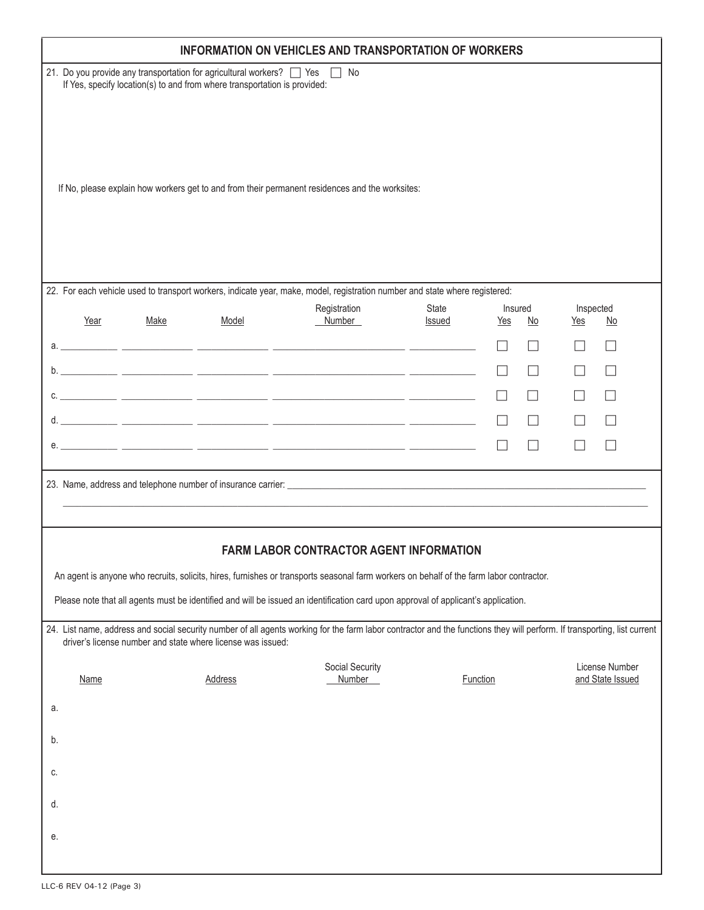|             | <b>INFORMATION ON VEHICLES AND TRANSPORTATION OF WORKERS</b>                                                                                                    |                                                             |                                                                                                                                                                          |                        |                |    |                  |                                    |  |
|-------------|-----------------------------------------------------------------------------------------------------------------------------------------------------------------|-------------------------------------------------------------|--------------------------------------------------------------------------------------------------------------------------------------------------------------------------|------------------------|----------------|----|------------------|------------------------------------|--|
|             | 21. Do you provide any transportation for agricultural workers?   Yes<br>$\Box$ No<br>If Yes, specify location(s) to and from where transportation is provided: |                                                             |                                                                                                                                                                          |                        |                |    |                  |                                    |  |
|             |                                                                                                                                                                 |                                                             |                                                                                                                                                                          |                        |                |    |                  |                                    |  |
|             |                                                                                                                                                                 |                                                             |                                                                                                                                                                          |                        |                |    |                  |                                    |  |
|             |                                                                                                                                                                 |                                                             | If No, please explain how workers get to and from their permanent residences and the worksites:                                                                          |                        |                |    |                  |                                    |  |
|             |                                                                                                                                                                 |                                                             |                                                                                                                                                                          |                        |                |    |                  |                                    |  |
|             |                                                                                                                                                                 |                                                             |                                                                                                                                                                          |                        |                |    |                  |                                    |  |
|             |                                                                                                                                                                 |                                                             | 22. For each vehicle used to transport workers, indicate year, make, model, registration number and state where registered:                                              |                        |                |    |                  |                                    |  |
| Year        | <u>Make</u>                                                                                                                                                     | Model                                                       | Registration<br>Number                                                                                                                                                   | State<br><b>Issued</b> | Insured<br>Yes | No | Inspected<br>Yes | No                                 |  |
|             |                                                                                                                                                                 |                                                             |                                                                                                                                                                          |                        |                |    |                  | $\mathsf{L}$                       |  |
|             |                                                                                                                                                                 |                                                             |                                                                                                                                                                          |                        |                |    |                  | $\perp$                            |  |
|             |                                                                                                                                                                 |                                                             |                                                                                                                                                                          |                        |                |    |                  | $\Box$                             |  |
|             |                                                                                                                                                                 |                                                             |                                                                                                                                                                          |                        |                |    |                  |                                    |  |
|             |                                                                                                                                                                 |                                                             |                                                                                                                                                                          |                        |                |    |                  |                                    |  |
|             |                                                                                                                                                                 |                                                             |                                                                                                                                                                          |                        |                |    |                  |                                    |  |
|             |                                                                                                                                                                 |                                                             |                                                                                                                                                                          |                        |                |    |                  |                                    |  |
|             |                                                                                                                                                                 |                                                             | FARM LABOR CONTRACTOR AGENT INFORMATION                                                                                                                                  |                        |                |    |                  |                                    |  |
|             |                                                                                                                                                                 |                                                             | An agent is anyone who recruits, solicits, hires, furnishes or transports seasonal farm workers on behalf of the farm labor contractor.                                  |                        |                |    |                  |                                    |  |
|             |                                                                                                                                                                 |                                                             | Please note that all agents must be identified and will be issued an identification card upon approval of applicant's application.                                       |                        |                |    |                  |                                    |  |
|             |                                                                                                                                                                 | driver's license number and state where license was issued: | 24. List name, address and social security number of all agents working for the farm labor contractor and the functions they will perform. If transporting, list current |                        |                |    |                  |                                    |  |
| <b>Name</b> |                                                                                                                                                                 | <b>Address</b>                                              | Social Security<br>Number                                                                                                                                                |                        | Function       |    |                  | License Number<br>and State Issued |  |
| а.          |                                                                                                                                                                 |                                                             |                                                                                                                                                                          |                        |                |    |                  |                                    |  |
| b.          |                                                                                                                                                                 |                                                             |                                                                                                                                                                          |                        |                |    |                  |                                    |  |
|             |                                                                                                                                                                 |                                                             |                                                                                                                                                                          |                        |                |    |                  |                                    |  |
| C.          |                                                                                                                                                                 |                                                             |                                                                                                                                                                          |                        |                |    |                  |                                    |  |
| d.          |                                                                                                                                                                 |                                                             |                                                                                                                                                                          |                        |                |    |                  |                                    |  |
| е.          |                                                                                                                                                                 |                                                             |                                                                                                                                                                          |                        |                |    |                  |                                    |  |
|             |                                                                                                                                                                 |                                                             |                                                                                                                                                                          |                        |                |    |                  |                                    |  |